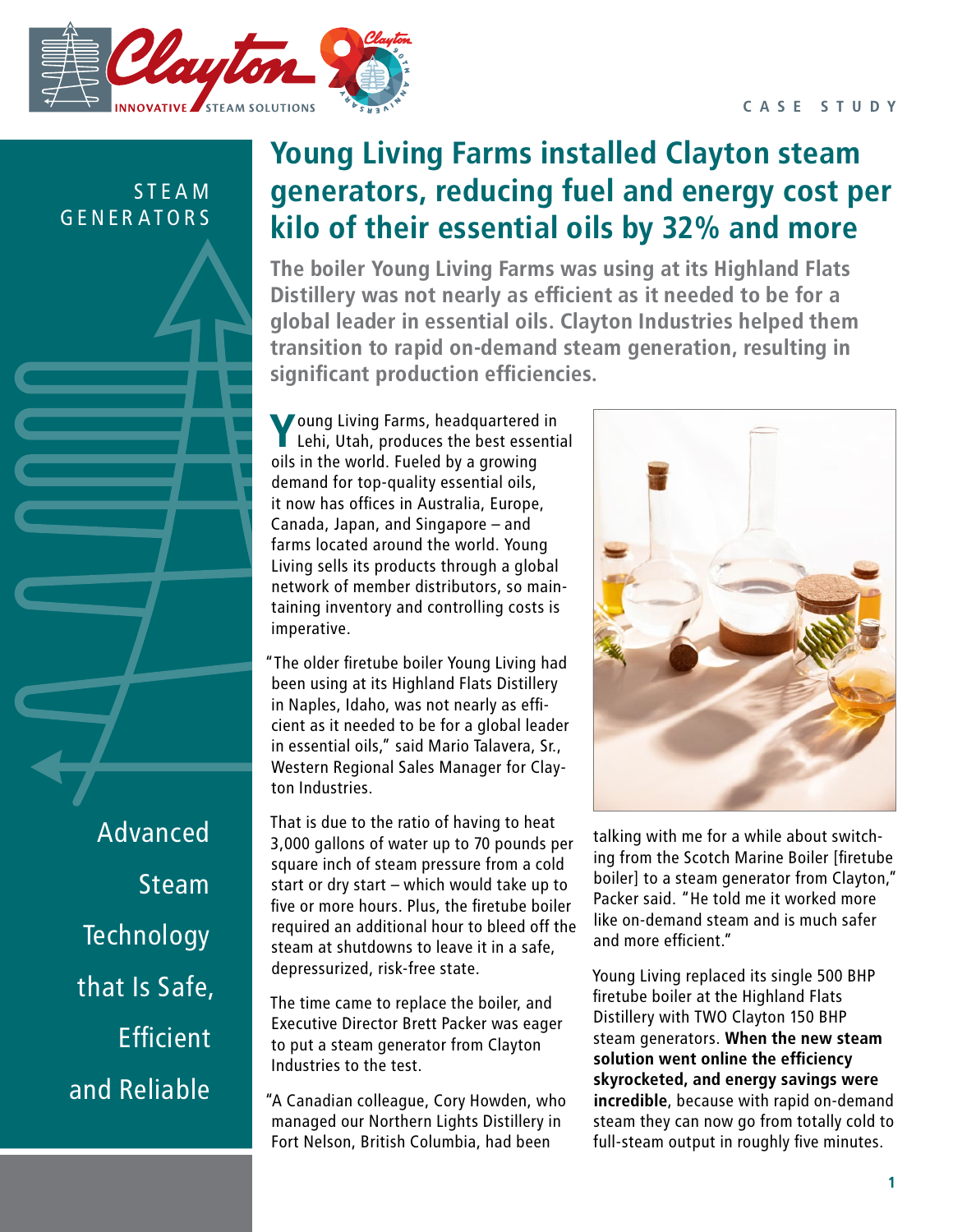#### **CASE STUDY**



S T E A M GENERATORS Advanced Steam **Technology** that Is Safe, **Efficient** 

and Reliable

# **Young Living Farms installed Clayton steam generators, reducing fuel and energy cost per kilo of their essential oils by 32% and more**

**The boiler Young Living Farms was using at its Highland Flats Distillery was not nearly as efficient as it needed to be for a global leader in essential oils. Clayton Industries helped them transition to rapid on-demand steam generation, resulting in significant production efficiencies.**

**Young Living Farms, headquartered in**<br> **Computer** Lehi, Utah, produces the best essention<br>
oils in the world. Fueled by a growing Lehi, Utah, produces the best essential demand for top-quality essential oils, it now has offices in Australia, Europe, Canada, Japan, and Singapore – and farms located around the world. Young Living sells its products through a global network of member distributors, so maintaining inventory and controlling costs is imperative.

"The older firetube boiler Young Living had been using at its Highland Flats Distillery in Naples, Idaho, was not nearly as efficient as it needed to be for a global leader in essential oils," said Mario Talavera, Sr., Western Regional Sales Manager for Clayton Industries.

That is due to the ratio of having to heat 3,000 gallons of water up to 70 pounds per square inch of steam pressure from a cold start or dry start – which would take up to five or more hours. Plus, the firetube boiler required an additional hour to bleed off the steam at shutdowns to leave it in a safe, depressurized, risk-free state.

The time came to replace the boiler, and Executive Director Brett Packer was eager to put a steam generator from Clayton Industries to the test.

"A Canadian colleague, Cory Howden, who managed our Northern Lights Distillery in Fort Nelson, British Columbia, had been



talking with me for a while about switching from the Scotch Marine Boiler [firetube boiler] to a steam generator from Clayton," Packer said. "He told me it worked more like on-demand steam and is much safer and more efficient."

Young Living replaced its single 500 BHP firetube boiler at the Highland Flats Distillery with TWO Clayton 150 BHP steam generators. **When the new steam solution went online the efficiency skyrocketed, and energy savings were incredible**, because with rapid on-demand steam they can now go from totally cold to full-steam output in roughly five minutes.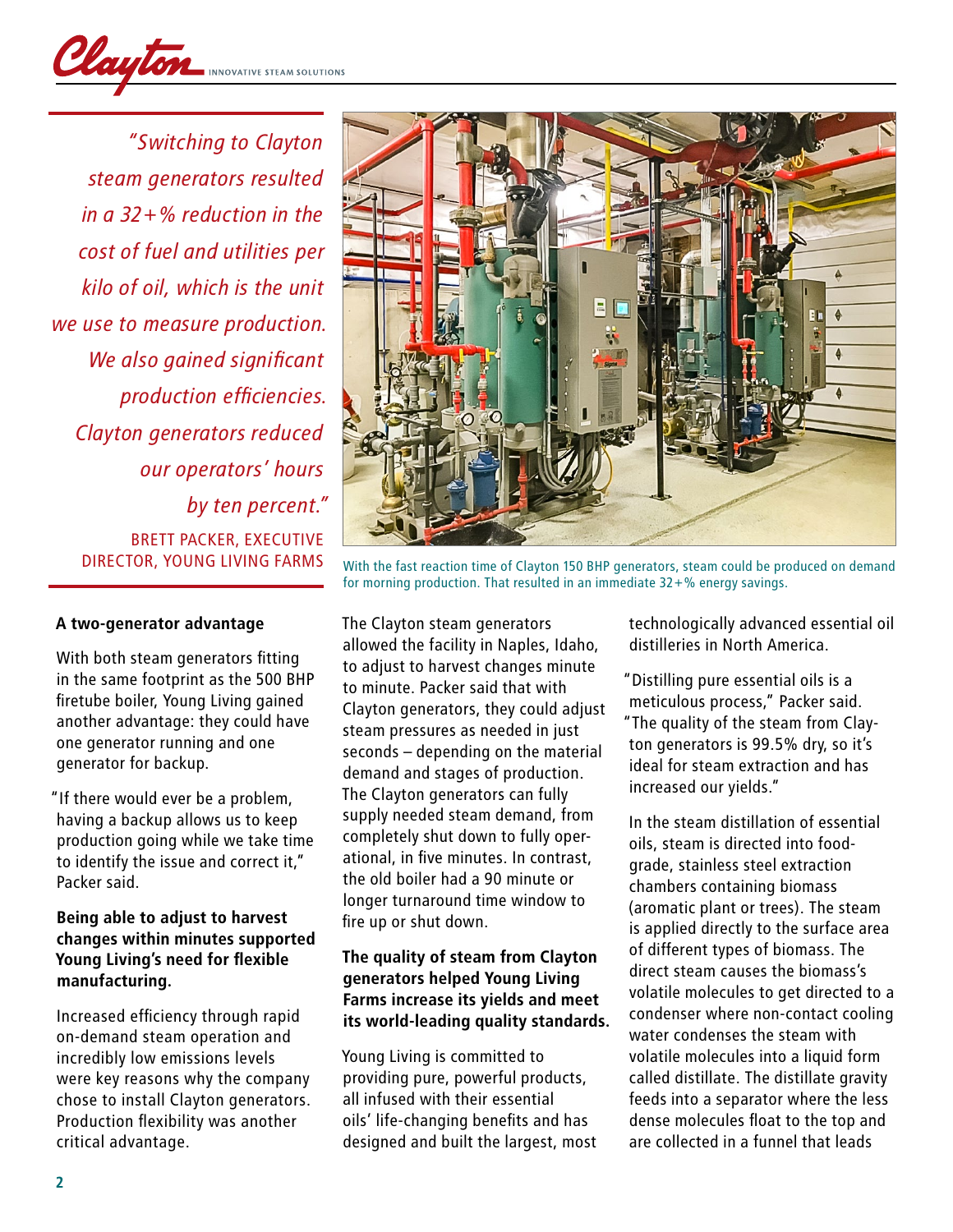

*"Switching to Clayton steam generators resulted in a 32+% reduction in the cost of fuel and utilities per kilo of oil, which is the unit we use to measure production. We also gained significant production efficiencies. Clayton generators reduced our operators' hours by ten percent."* BRETT PACKER, EXECUTIVE<br>DIRECTOR, YOUNG LIVING FARMS

#### **A two-generator advantage**

With both steam generators fitting in the same footprint as the 500 BHP firetube boiler, Young Living gained another advantage: they could have one generator running and one generator for backup.

"If there would ever be a problem, having a backup allows us to keep production going while we take time to identify the issue and correct it," Packer said.

### **Being able to adjust to harvest changes within minutes supported Young Living's need for flexible manufacturing.**

Increased efficiency through rapid on-demand steam operation and incredibly low emissions levels were key reasons why the company chose to install Clayton generators. Production flexibility was another critical advantage.



With the fast reaction time of Clayton 150 BHP generators, steam could be produced on demand for morning production. That resulted in an immediate 32+% energy savings.

The Clayton steam generators allowed the facility in Naples, Idaho, to adjust to harvest changes minute to minute. Packer said that with Clayton generators, they could adjust steam pressures as needed in just seconds – depending on the material demand and stages of production. The Clayton generators can fully supply needed steam demand, from completely shut down to fully operational, in five minutes. In contrast, the old boiler had a 90 minute or longer turnaround time window to fire up or shut down.

## **The quality of steam from Clayton generators helped Young Living Farms increase its yields and meet its world-leading quality standards.**

Young Living is committed to providing pure, powerful products, all infused with their essential oils' life-changing benefits and has designed and built the largest, most technologically advanced essential oil distilleries in North America.

"Distilling pure essential oils is a meticulous process," Packer said. "The quality of the steam from Clayton generators is 99.5% dry, so it's ideal for steam extraction and has increased our yields."

In the steam distillation of essential oils, steam is directed into foodgrade, stainless steel extraction chambers containing biomass (aromatic plant or trees). The steam is applied directly to the surface area of different types of biomass. The direct steam causes the biomass's volatile molecules to get directed to a condenser where non-contact cooling water condenses the steam with volatile molecules into a liquid form called distillate. The distillate gravity feeds into a separator where the less dense molecules float to the top and are collected in a funnel that leads